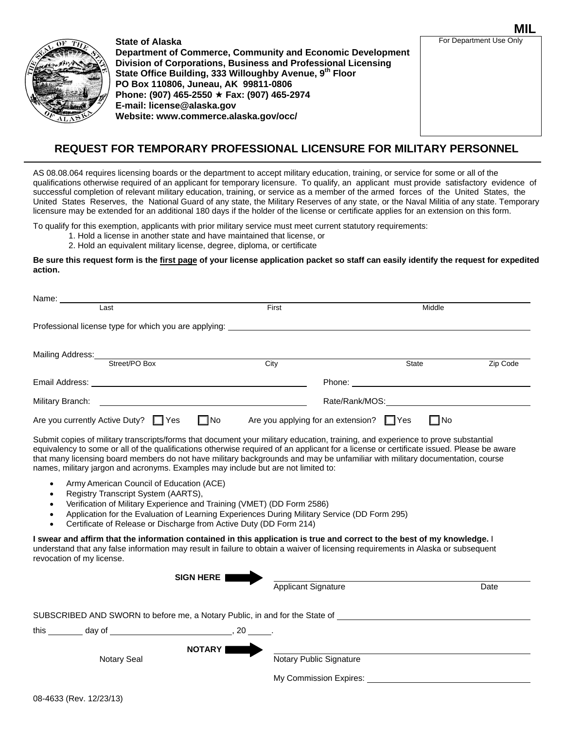

**State of Alaska Department of Commerce, Community and Economic Development Division of Corporations, Business and Professional Licensing**  State Office Building, 333 Willoughby Avenue, 9<sup>th</sup> Floor **PO Box 110806, Juneau, AK 99811-0806 Phone: (907) 465-2550 Fax: (907) 465-2974 E-mail: license@alaska.gov Website: www.commerce.alaska.gov/occ/**

**MIL** For Department Use Only

## **REQUEST FOR TEMPORARY PROFESSIONAL LICENSURE FOR MILITARY PERSONNEL**

AS 08.08.064 requires licensing boards or the department to accept military education, training, or service for some or all of the qualifications otherwise required of an applicant for temporary licensure. To qualify, an applicant must provide satisfactory evidence of successful completion of relevant military education, training, or service as a member of the armed forces of the United States, the United States Reserves, the National Guard of any state, the Military Reserves of any state, or the Naval Militia of any state. Temporary licensure may be extended for an additional 180 days if the holder of the license or certificate applies for an extension on this form.

To qualify for this exemption, applicants with prior military service must meet current statutory requirements:

- 1. Hold a license in another state and have maintained that license, or
- 2. Hold an equivalent military license, degree, diploma, or certificate

## **Be sure this request form is the first page of your license application packet so staff can easily identify the request for expedited action.**

| Name: _                                                                          |                              |                                               |                                         |          |
|----------------------------------------------------------------------------------|------------------------------|-----------------------------------------------|-----------------------------------------|----------|
| Last                                                                             | Middle<br>First              |                                               |                                         |          |
| Professional license type for which you are applying: __________________________ |                              |                                               |                                         |          |
|                                                                                  |                              |                                               |                                         |          |
|                                                                                  |                              |                                               |                                         |          |
| Street/PO Box                                                                    | City                         |                                               | <b>State</b>                            | Zip Code |
|                                                                                  |                              |                                               | Phone: <u>_________</u> _______________ |          |
| Military Branch:                                                                 | Rate/Rank/MOS: New York 1999 |                                               |                                         |          |
| $\square$ No<br>Are you currently Active Duty? Thes                              |                              | Are you applying for an extension? $\Box$ Yes | $\square$ No                            |          |

Submit copies of military transcripts/forms that document your military education, training, and experience to prove substantial equivalency to some or all of the qualifications otherwise required of an applicant for a license or certificate issued. Please be aware that many licensing board members do not have military backgrounds and may be unfamiliar with military documentation, course names, military jargon and acronyms. Examples may include but are not limited to:

- Army American Council of Education (ACE)
- Registry Transcript System (AARTS),
- Verification of Military Experience and Training (VMET) (DD Form 2586)
- Application for the Evaluation of Learning Experiences During Military Service (DD Form 295)
- Certificate of Release or Discharge from Active Duty (DD Form 214)

**I swear and affirm that the information contained in this application is true and correct to the best of my knowledge.** I understand that any false information may result in failure to obtain a waiver of licensing requirements in Alaska or subsequent revocation of my license.

|                    | <b>SIGN HERE</b>                                                            | <b>Applicant Signature</b>                        | Date |
|--------------------|-----------------------------------------------------------------------------|---------------------------------------------------|------|
|                    | SUBSCRIBED AND SWORN to before me, a Notary Public, in and for the State of |                                                   |      |
|                    | . 20 .                                                                      |                                                   |      |
| <b>Notary Seal</b> | <b>NOTARY</b>                                                               | Notary Public Signature<br>My Commission Expires: |      |